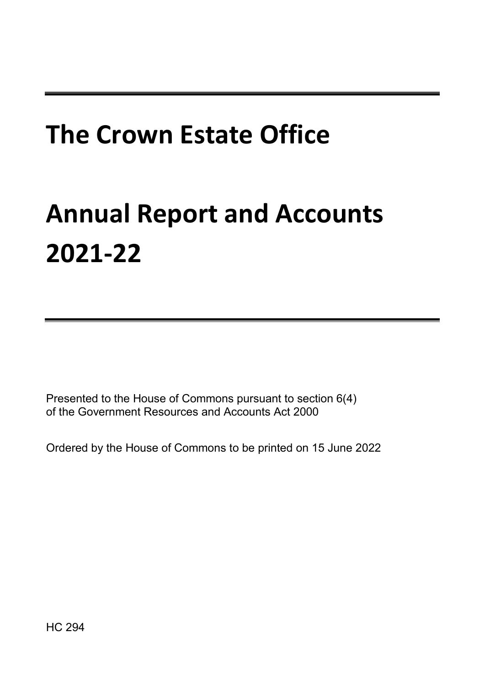# **The Crown Estate Office**

# **Annual Report and Accounts 2021-22**

Presented to the House of Commons pursuant to section 6(4) of the Government Resources and Accounts Act 2000

Ordered by the House of Commons to be printed on 15 June 2022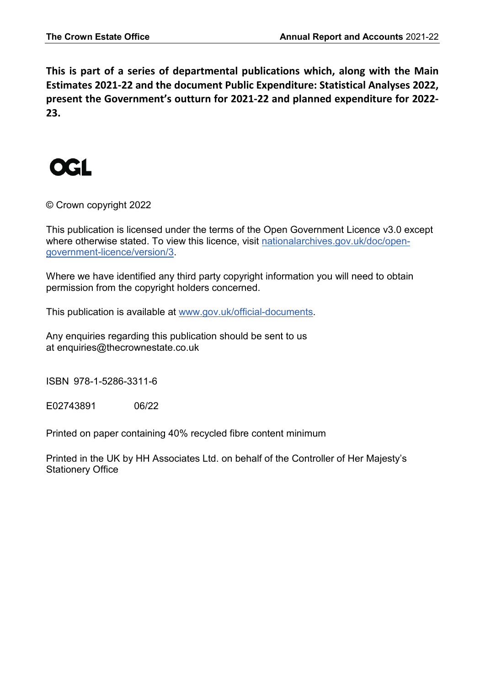**This is part of a series of departmental publications which, along with the Main Estimates 2021-22 and the document Public Expenditure: Statistical Analyses 2022, present the Government's outturn for 2021-22 and planned expenditure for 2022- 23.** 



© Crown copyright 2022

This publication is licensed under the terms of the Open Government Licence v3.0 except where otherwise stated. To view this licence, visit [nationalarchives.gov.uk/doc/open](http://www.nationalarchives.gov.uk/doc/open-government-licence/version/3)[government-licence/version/3.](http://www.nationalarchives.gov.uk/doc/open-government-licence/version/3)

Where we have identified any third party copyright information you will need to obtain permission from the copyright holders concerned.

This publication is available at [www.gov.uk/official-documents.](https://www.gov.uk/government/publications)

Any enquiries regarding this publication should be sent to us at enquiries@thecrownestate.co.uk

ISBN 978-1-5286-3311-6

E02743891 06/22

Printed on paper containing 40% recycled fibre content minimum

Printed in the UK by HH Associates Ltd. on behalf of the Controller of Her Majesty's Stationery Office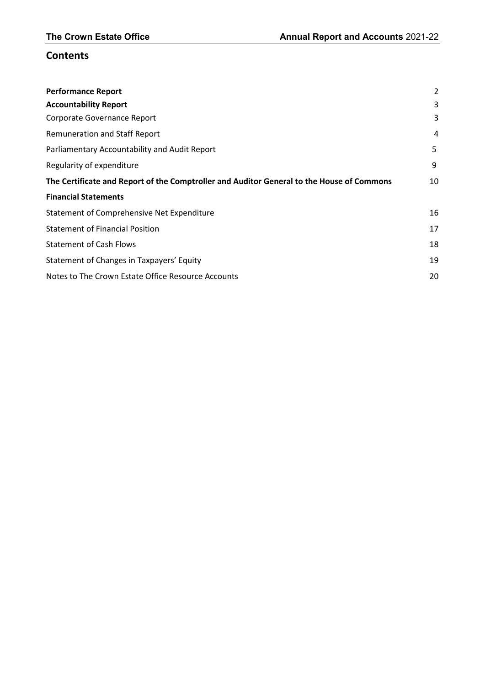# **Contents**

| <b>Performance Report</b>                                                                 | 2  |
|-------------------------------------------------------------------------------------------|----|
| <b>Accountability Report</b>                                                              | 3  |
| Corporate Governance Report                                                               | 3  |
| <b>Remuneration and Staff Report</b>                                                      | 4  |
| Parliamentary Accountability and Audit Report                                             | 5  |
| Regularity of expenditure                                                                 | 9  |
| The Certificate and Report of the Comptroller and Auditor General to the House of Commons | 10 |
| <b>Financial Statements</b>                                                               |    |
| Statement of Comprehensive Net Expenditure                                                | 16 |
| <b>Statement of Financial Position</b>                                                    | 17 |
| <b>Statement of Cash Flows</b>                                                            | 18 |
| Statement of Changes in Taxpayers' Equity                                                 | 19 |
| Notes to The Crown Estate Office Resource Accounts                                        | 20 |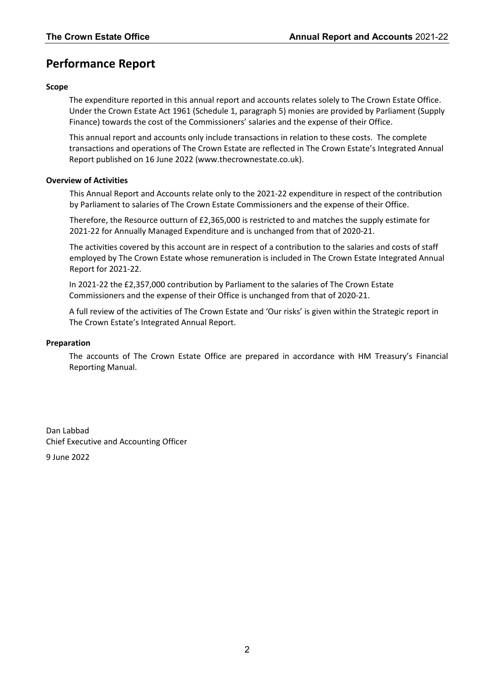# **Performance Report**

#### **Scope**

The expenditure reported in this annual report and accounts relates solely to The Crown Estate Office. Under the Crown Estate Act 1961 (Schedule 1, paragraph 5) monies are provided by Parliament (Supply Finance) towards the cost of the Commissioners' salaries and the expense of their Office.

This annual report and accounts only include transactions in relation to these costs. The complete transactions and operations of The Crown Estate are reflected in The Crown Estate's Integrated Annual Report published on 16 June 2022 (www.thecrownestate.co.uk).

#### **Overview of Activities**

This Annual Report and Accounts relate only to the 2021-22 expenditure in respect of the contribution by Parliament to salaries of The Crown Estate Commissioners and the expense of their Office.

Therefore, the Resource outturn of £2,365,000 is restricted to and matches the supply estimate for 2021-22 for Annually Managed Expenditure and is unchanged from that of 2020-21.

The activities covered by this account are in respect of a contribution to the salaries and costs of staff employed by The Crown Estate whose remuneration is included in The Crown Estate Integrated Annual Report for 2021-22.

In 2021-22 the £2,357,000 contribution by Parliament to the salaries of The Crown Estate Commissioners and the expense of their Office is unchanged from that of 2020-21.

A full review of the activities of The Crown Estate and 'Our risks' is given within the Strategic report in The Crown Estate's Integrated Annual Report.

#### **Preparation**

The accounts of The Crown Estate Office are prepared in accordance with HM Treasury's Financial Reporting Manual.

Dan Labbad Chief Executive and Accounting Officer

9 June 2022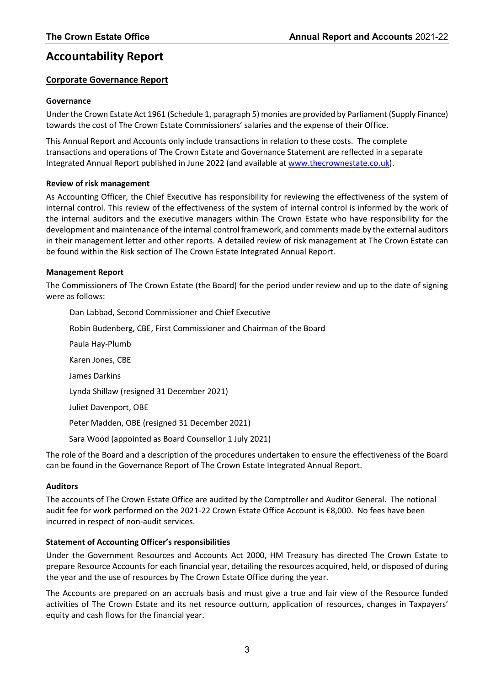# **Accountability Report**

#### **Corporate Governance Report**

#### **Governance**

Under the Crown Estate Act 1961 (Schedule 1, paragraph 5) monies are provided by Parliament (Supply Finance) towards the cost of The Crown Estate Commissioners' salaries and the expense of their Office.

This Annual Report and Accounts only include transactions in relation to these costs. The complete transactions and operations of The Crown Estate and Governance Statement are reflected in a separate Integrated Annual Report published in June 2022 (and available at [www.thecrownestate.co.uk\)](http://www.thecrownestate.co.uk/).

#### **Review of risk management**

As Accounting Officer, the Chief Executive has responsibility for reviewing the effectiveness of the system of internal control. This review of the effectiveness of the system of internal control is informed by the work of the internal auditors and the executive managers within The Crown Estate who have responsibility for the development and maintenance of the internal control framework, and comments made by the external auditors in their management letter and other reports. A detailed review of risk management at The Crown Estate can be found within the Risk section of The Crown Estate Integrated Annual Report.

#### **Management Report**

The Commissioners of The Crown Estate (the Board) for the period under review and up to the date of signing were as follows:

Dan Labbad, Second Commissioner and Chief Executive Robin Budenberg, CBE, First Commissioner and Chairman of the Board Paula Hay-Plumb Karen Jones, CBE James Darkins Lynda Shillaw (resigned 31 December 2021) Juliet Davenport, OBE Peter Madden, OBE (resigned 31 December 2021) Sara Wood (appointed as Board Counsellor 1 July 2021)

The role of the Board and a description of the procedures undertaken to ensure the effectiveness of the Board can be found in the Governance Report of The Crown Estate Integrated Annual Report.

#### **Auditors**

The accounts of The Crown Estate Office are audited by the Comptroller and Auditor General. The notional audit fee for work performed on the 2021-22 Crown Estate Office Account is £8,000. No fees have been incurred in respect of non-audit services.

#### **Statement of Accounting Officer's responsibilities**

Under the Government Resources and Accounts Act 2000, HM Treasury has directed The Crown Estate to prepare Resource Accounts for each financial year, detailing the resources acquired, held, or disposed of during the year and the use of resources by The Crown Estate Office during the year.

The Accounts are prepared on an accruals basis and must give a true and fair view of the Resource funded activities of The Crown Estate and its net resource outturn, application of resources, changes in Taxpayers' equity and cash flows for the financial year.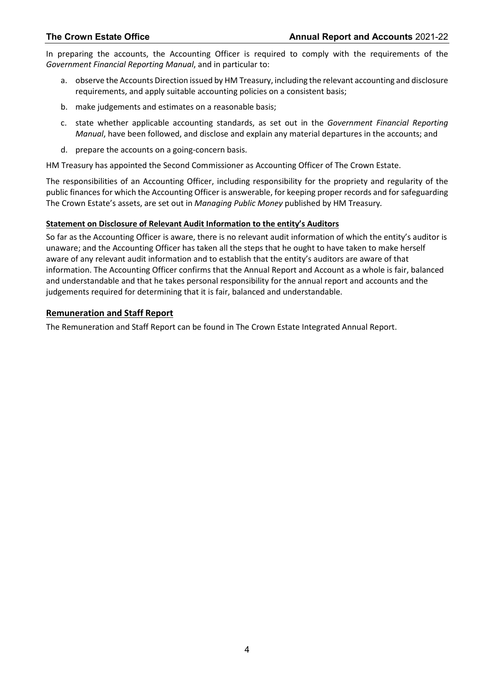In preparing the accounts, the Accounting Officer is required to comply with the requirements of the *Government Financial Reporting Manual*, and in particular to:

- a. observe the Accounts Direction issued by HM Treasury, including the relevant accounting and disclosure requirements, and apply suitable accounting policies on a consistent basis;
- b. make judgements and estimates on a reasonable basis;
- c. state whether applicable accounting standards, as set out in the *Government Financial Reporting Manual*, have been followed, and disclose and explain any material departures in the accounts; and
- d. prepare the accounts on a going-concern basis.

HM Treasury has appointed the Second Commissioner as Accounting Officer of The Crown Estate.

The responsibilities of an Accounting Officer, including responsibility for the propriety and regularity of the public finances for which the Accounting Officer is answerable, for keeping proper records and for safeguarding The Crown Estate's assets, are set out in *Managing Public Money* published by HM Treasury*.*

#### **Statement on Disclosure of Relevant Audit Information to the entity's Auditors**

So far as the Accounting Officer is aware, there is no relevant audit information of which the entity's auditor is unaware; and the Accounting Officer has taken all the steps that he ought to have taken to make herself aware of any relevant audit information and to establish that the entity's auditors are aware of that information. The Accounting Officer confirms that the Annual Report and Account as a whole is fair, balanced and understandable and that he takes personal responsibility for the annual report and accounts and the judgements required for determining that it is fair, balanced and understandable.

#### **Remuneration and Staff Report**

The Remuneration and Staff Report can be found in The Crown Estate Integrated Annual Report.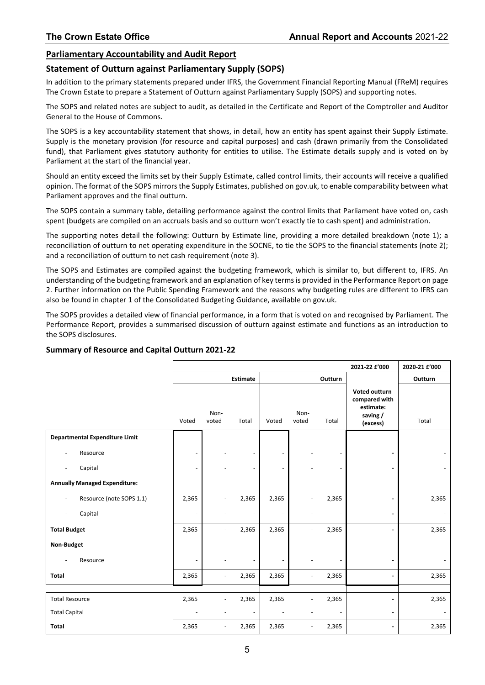#### **Parliamentary Accountability and Audit Report**

#### **Statement of Outturn against Parliamentary Supply (SOPS)**

In addition to the primary statements prepared under IFRS, the Government Financial Reporting Manual (FReM) requires The Crown Estate to prepare a Statement of Outturn against Parliamentary Supply (SOPS) and supporting notes.

The SOPS and related notes are subject to audit, as detailed in the Certificate and Report of the Comptroller and Auditor General to the House of Commons.

The SOPS is a key accountability statement that shows, in detail, how an entity has spent against their Supply Estimate. Supply is the monetary provision (for resource and capital purposes) and cash (drawn primarily from the Consolidated fund), that Parliament gives statutory authority for entities to utilise. The Estimate details supply and is voted on by Parliament at the start of the financial year.

Should an entity exceed the limits set by their Supply Estimate, called control limits, their accounts will receive a qualified opinion. The format of the SOPS mirrors the Supply Estimates, published on gov.uk, to enable comparability between what Parliament approves and the final outturn.

The SOPS contain a summary table, detailing performance against the control limits that Parliament have voted on, cash spent (budgets are compiled on an accruals basis and so outturn won't exactly tie to cash spent) and administration.

The supporting notes detail the following: Outturn by Estimate line, providing a more detailed breakdown (note 1); a reconciliation of outturn to net operating expenditure in the SOCNE, to tie the SOPS to the financial statements (note 2); and a reconciliation of outturn to net cash requirement (note 3).

The SOPS and Estimates are compiled against the budgeting framework, which is similar to, but different to, IFRS. An understanding of the budgeting framework and an explanation of key terms is provided in the Performance Report on page 2. Further information on the Public Spending Framework and the reasons why budgeting rules are different to IFRS can also be found in chapter 1 of the Consolidated Budgeting Guidance, available on gov.uk.

The SOPS provides a detailed view of financial performance, in a form that is voted on and recognised by Parliament. The Performance Report, provides a summarised discussion of outturn against estimate and functions as an introduction to the SOPS disclosures.

|                                                      |       |                          |                          |                          |                          |                | 2021-22 £'000                                                       | 2020-21 £'000 |
|------------------------------------------------------|-------|--------------------------|--------------------------|--------------------------|--------------------------|----------------|---------------------------------------------------------------------|---------------|
|                                                      |       |                          | <b>Estimate</b>          |                          |                          | Outturn        |                                                                     | Outturn       |
|                                                      | Voted | Non-<br>voted            | Total                    | Voted                    | Non-<br>voted            | Total          | Voted outturn<br>compared with<br>estimate:<br>saving /<br>(excess) | Total         |
| <b>Departmental Expenditure Limit</b>                |       |                          |                          |                          |                          |                |                                                                     |               |
| Resource<br>$\overline{\phantom{a}}$                 |       |                          | $\overline{\phantom{a}}$ | $\overline{\phantom{a}}$ |                          |                |                                                                     |               |
| Capital<br>$\overline{\phantom{a}}$                  |       |                          | $\overline{\phantom{m}}$ | $\overline{\phantom{a}}$ |                          |                |                                                                     |               |
| <b>Annually Managed Expenditure:</b>                 |       |                          |                          |                          |                          |                |                                                                     |               |
| Resource (note SOPS 1.1)<br>$\overline{\phantom{a}}$ | 2,365 |                          | 2,365                    | 2,365                    |                          | 2,365          |                                                                     | 2,365         |
| Capital<br>$\overline{\phantom{a}}$                  |       |                          | $\overline{\phantom{m}}$ |                          |                          |                |                                                                     |               |
| <b>Total Budget</b>                                  | 2,365 |                          | 2,365                    | 2,365                    |                          | 2,365          |                                                                     | 2,365         |
| Non-Budget                                           |       |                          |                          |                          |                          |                |                                                                     |               |
| Resource                                             |       |                          |                          |                          |                          |                |                                                                     |               |
| Total                                                | 2,365 | $\overline{\phantom{a}}$ | 2,365                    | 2,365                    | ٠                        | 2,365          |                                                                     | 2,365         |
|                                                      |       |                          |                          |                          |                          |                |                                                                     |               |
| <b>Total Resource</b>                                | 2,365 |                          | 2,365                    | 2,365                    |                          | 2,365          |                                                                     | 2,365         |
| <b>Total Capital</b>                                 |       |                          | $\overline{\phantom{a}}$ |                          |                          | $\overline{a}$ | $\blacksquare$                                                      |               |
| Total                                                | 2,365 | $\overline{\phantom{a}}$ | 2,365                    | 2,365                    | $\overline{\phantom{a}}$ | 2,365          | $\blacksquare$                                                      | 2,365         |

#### **Summary of Resource and Capital Outturn 2021-22**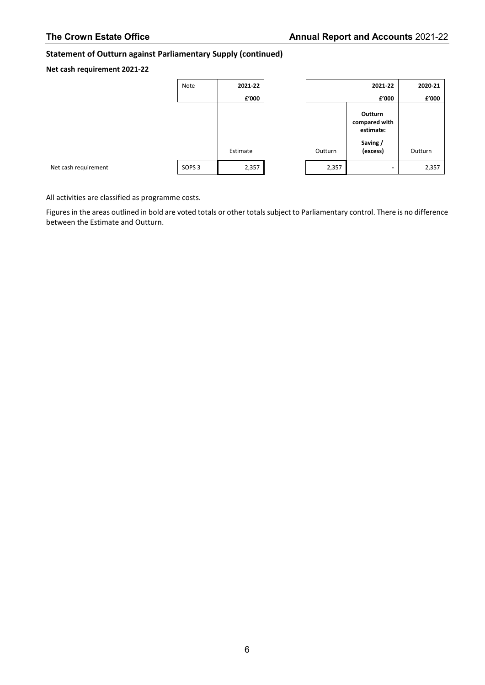#### **Statement of Outturn against Parliamentary Supply (continued)**

#### **Net cash requirement 2021-22**

Net cash requirement

| Note              | 2021-22  |         |
|-------------------|----------|---------|
|                   | £'000    |         |
|                   |          |         |
|                   |          |         |
|                   |          |         |
|                   |          |         |
|                   | Estimate | Outturn |
| SOPS <sub>3</sub> | 2,357    | 2,3     |
|                   |          |         |

|         | 2020-21                               |         |
|---------|---------------------------------------|---------|
|         | £'000                                 | £'000   |
|         | Outturn<br>compared with<br>estimate: |         |
| Outturn | Saving/<br>(excess)                   | Outturn |
| 2,357   |                                       | 2,357   |

All activities are classified as programme costs.

Figures in the areas outlined in bold are voted totals or other totals subject to Parliamentary control. There is no difference between the Estimate and Outturn.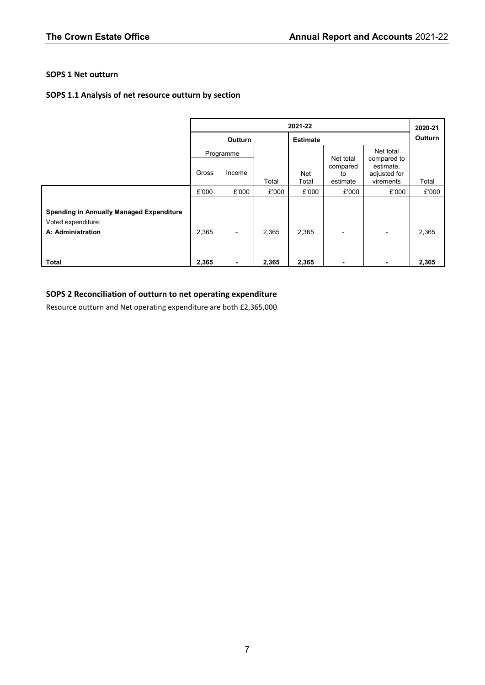#### **SOPS 1 Net outturn**

#### **SOPS 1.1 Analysis of net resource outturn by section**

|                                                                                            | 2021-22 |                          |       |                 |                            | 2020-21                                |         |
|--------------------------------------------------------------------------------------------|---------|--------------------------|-------|-----------------|----------------------------|----------------------------------------|---------|
|                                                                                            |         | Outturn                  |       | <b>Estimate</b> |                            |                                        | Outturn |
|                                                                                            |         | Programme                |       |                 | Net total                  | Net total<br>compared to               |         |
|                                                                                            | Gross   | Income                   | Total | Net<br>Total    | compared<br>to<br>estimate | estimate,<br>adjusted for<br>virements | Total   |
|                                                                                            | £'000   | £'000                    | £'000 | £'000           | £'000                      | £'000                                  | £'000   |
| <b>Spending in Annually Managed Expenditure</b><br>Voted expenditure:<br>A: Administration | 2,365   | $\overline{\phantom{a}}$ | 2,365 | 2,365           |                            | -                                      | 2,365   |
| <b>Total</b>                                                                               | 2,365   | ٠                        | 2,365 | 2,365           |                            |                                        | 2,365   |

## **SOPS 2 Reconciliation of outturn to net operating expenditure**

Resource outturn and Net operating expenditure are both £2,365,000.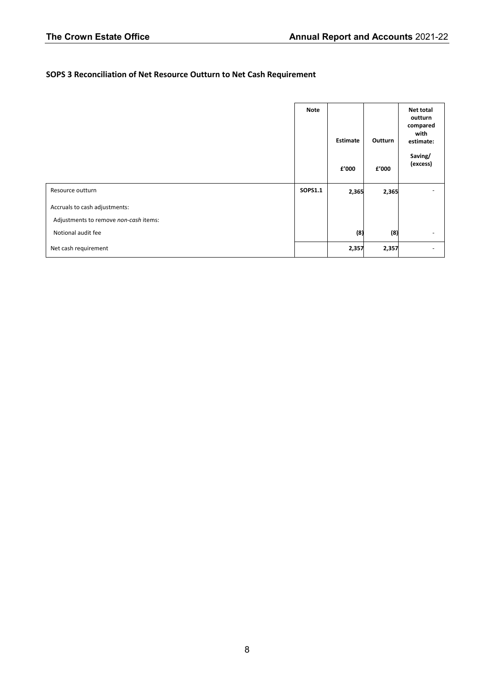## **SOPS 3 Reconciliation of Net Resource Outturn to Net Cash Requirement**

|                                       | <b>Note</b> | <b>Estimate</b> | Outturn | <b>Net total</b><br>outturn<br>compared<br>with<br>estimate: |
|---------------------------------------|-------------|-----------------|---------|--------------------------------------------------------------|
|                                       |             | £'000           | £'000   | Saving/<br>(excess)                                          |
| Resource outturn                      | SOPS1.1     | 2,365           | 2,365   |                                                              |
| Accruals to cash adjustments:         |             |                 |         |                                                              |
| Adjustments to remove non-cash items: |             |                 |         |                                                              |
| Notional audit fee                    |             | (8)             | (8)     | $\overline{\phantom{0}}$                                     |
| Net cash requirement                  |             | 2,357           | 2,357   | -                                                            |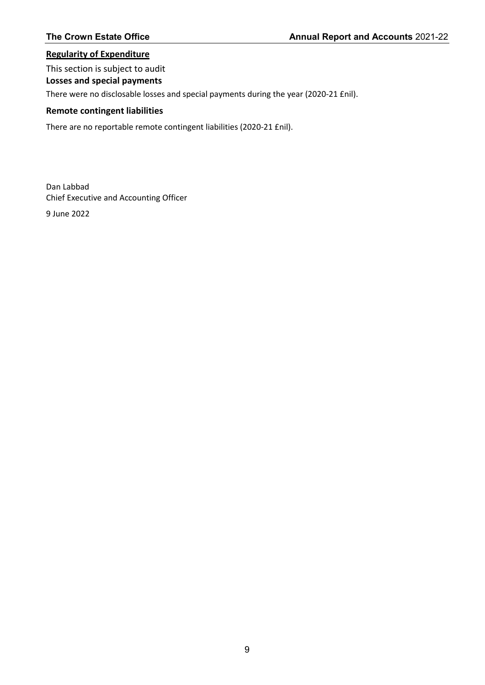#### **Regularity of Expenditure**

# This section is subject to audit

**Losses and special payments**

There were no disclosable losses and special payments during the year (2020-21 £nil).

#### **Remote contingent liabilities**

There are no reportable remote contingent liabilities (2020-21 £nil).

Dan Labbad Chief Executive and Accounting Officer

9 June 2022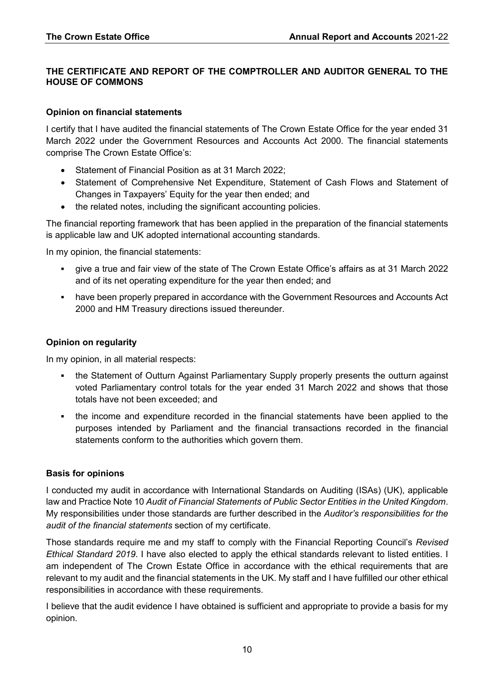#### **THE CERTIFICATE AND REPORT OF THE COMPTROLLER AND AUDITOR GENERAL TO THE HOUSE OF COMMONS**

#### **Opinion on financial statements**

I certify that I have audited the financial statements of The Crown Estate Office for the year ended 31 March 2022 under the Government Resources and Accounts Act 2000. The financial statements comprise The Crown Estate Office's:

- Statement of Financial Position as at 31 March 2022;
- Statement of Comprehensive Net Expenditure, Statement of Cash Flows and Statement of Changes in Taxpayers' Equity for the year then ended; and
- the related notes, including the significant accounting policies.

The financial reporting framework that has been applied in the preparation of the financial statements is applicable law and UK adopted international accounting standards.

In my opinion, the financial statements:

- give a true and fair view of the state of The Crown Estate Office's affairs as at 31 March 2022 and of its net operating expenditure for the year then ended; and
- have been properly prepared in accordance with the Government Resources and Accounts Act 2000 and HM Treasury directions issued thereunder.

#### **Opinion on regularity**

In my opinion, in all material respects:

- the Statement of Outturn Against Parliamentary Supply properly presents the outturn against voted Parliamentary control totals for the year ended 31 March 2022 and shows that those totals have not been exceeded; and
- the income and expenditure recorded in the financial statements have been applied to the purposes intended by Parliament and the financial transactions recorded in the financial statements conform to the authorities which govern them.

#### **Basis for opinions**

I conducted my audit in accordance with International Standards on Auditing (ISAs) (UK), applicable law and Practice Note 10 *Audit of Financial Statements of Public Sector Entities in the United Kingdom*. My responsibilities under those standards are further described in the *Auditor's responsibilities for the audit of the financial statements* section of my certificate.

Those standards require me and my staff to comply with the Financial Reporting Council's *Revised Ethical Standard 2019*. I have also elected to apply the ethical standards relevant to listed entities. I am independent of The Crown Estate Office in accordance with the ethical requirements that are relevant to my audit and the financial statements in the UK. My staff and I have fulfilled our other ethical responsibilities in accordance with these requirements.

I believe that the audit evidence I have obtained is sufficient and appropriate to provide a basis for my opinion.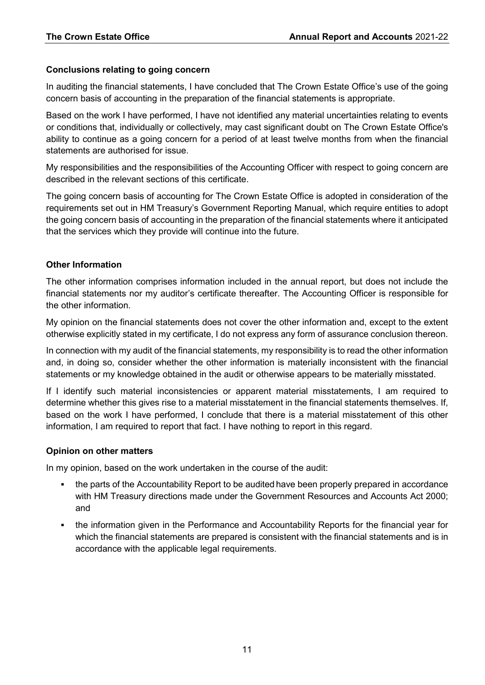#### **Conclusions relating to going concern**

In auditing the financial statements, I have concluded that The Crown Estate Office's use of the going concern basis of accounting in the preparation of the financial statements is appropriate.

Based on the work I have performed, I have not identified any material uncertainties relating to events or conditions that, individually or collectively, may cast significant doubt on The Crown Estate Office's ability to continue as a going concern for a period of at least twelve months from when the financial statements are authorised for issue.

My responsibilities and the responsibilities of the Accounting Officer with respect to going concern are described in the relevant sections of this certificate.

The going concern basis of accounting for The Crown Estate Office is adopted in consideration of the requirements set out in HM Treasury's Government Reporting Manual, which require entities to adopt the going concern basis of accounting in the preparation of the financial statements where it anticipated that the services which they provide will continue into the future.

### **Other Information**

The other information comprises information included in the annual report, but does not include the financial statements nor my auditor's certificate thereafter. The Accounting Officer is responsible for the other information.

My opinion on the financial statements does not cover the other information and, except to the extent otherwise explicitly stated in my certificate, I do not express any form of assurance conclusion thereon.

In connection with my audit of the financial statements, my responsibility is to read the other information and, in doing so, consider whether the other information is materially inconsistent with the financial statements or my knowledge obtained in the audit or otherwise appears to be materially misstated.

If I identify such material inconsistencies or apparent material misstatements, I am required to determine whether this gives rise to a material misstatement in the financial statements themselves. If, based on the work I have performed, I conclude that there is a material misstatement of this other information, I am required to report that fact. I have nothing to report in this regard.

### **Opinion on other matters**

In my opinion, based on the work undertaken in the course of the audit:

- the parts of the Accountability Report to be audited have been properly prepared in accordance with HM Treasury directions made under the Government Resources and Accounts Act 2000; and
- the information given in the Performance and Accountability Reports for the financial year for which the financial statements are prepared is consistent with the financial statements and is in accordance with the applicable legal requirements.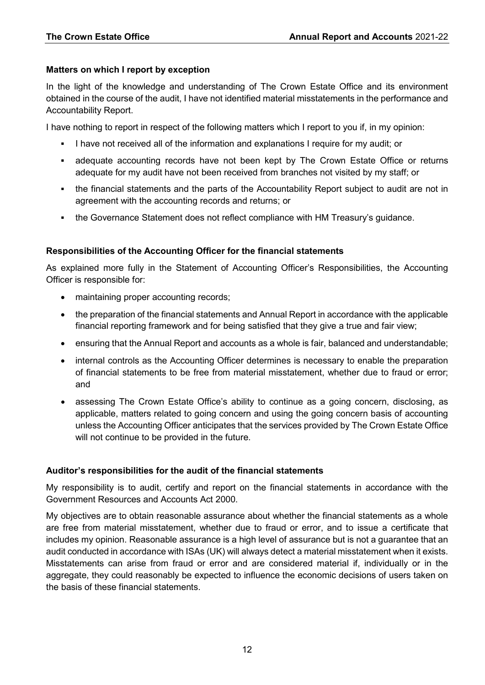#### **Matters on which I report by exception**

In the light of the knowledge and understanding of The Crown Estate Office and its environment obtained in the course of the audit, I have not identified material misstatements in the performance and Accountability Report.

I have nothing to report in respect of the following matters which I report to you if, in my opinion:

- I have not received all of the information and explanations I require for my audit; or
- adequate accounting records have not been kept by The Crown Estate Office or returns adequate for my audit have not been received from branches not visited by my staff; or
- the financial statements and the parts of the Accountability Report subject to audit are not in agreement with the accounting records and returns; or
- the Governance Statement does not reflect compliance with HM Treasury's guidance.

### **Responsibilities of the Accounting Officer for the financial statements**

As explained more fully in the Statement of Accounting Officer's Responsibilities, the Accounting Officer is responsible for:

- maintaining proper accounting records;
- the preparation of the financial statements and Annual Report in accordance with the applicable financial reporting framework and for being satisfied that they give a true and fair view;
- ensuring that the Annual Report and accounts as a whole is fair, balanced and understandable;
- internal controls as the Accounting Officer determines is necessary to enable the preparation of financial statements to be free from material misstatement, whether due to fraud or error; and
- assessing The Crown Estate Office's ability to continue as a going concern, disclosing, as applicable, matters related to going concern and using the going concern basis of accounting unless the Accounting Officer anticipates that the services provided by The Crown Estate Office will not continue to be provided in the future.

### **Auditor's responsibilities for the audit of the financial statements**

My responsibility is to audit, certify and report on the financial statements in accordance with the Government Resources and Accounts Act 2000.

My objectives are to obtain reasonable assurance about whether the financial statements as a whole are free from material misstatement, whether due to fraud or error, and to issue a certificate that includes my opinion. Reasonable assurance is a high level of assurance but is not a guarantee that an audit conducted in accordance with ISAs (UK) will always detect a material misstatement when it exists. Misstatements can arise from fraud or error and are considered material if, individually or in the aggregate, they could reasonably be expected to influence the economic decisions of users taken on the basis of these financial statements.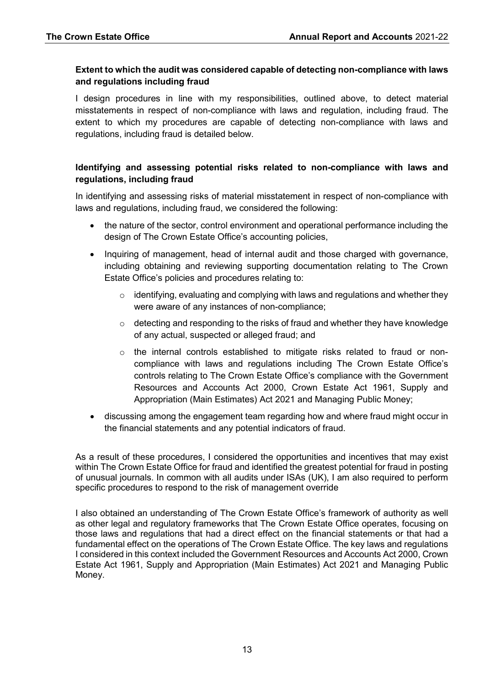#### **Extent to which the audit was considered capable of detecting non-compliance with laws and regulations including fraud**

I design procedures in line with my responsibilities, outlined above, to detect material misstatements in respect of non-compliance with laws and regulation, including fraud. The extent to which my procedures are capable of detecting non-compliance with laws and regulations, including fraud is detailed below.

#### **Identifying and assessing potential risks related to non-compliance with laws and regulations, including fraud**

In identifying and assessing risks of material misstatement in respect of non-compliance with laws and regulations, including fraud, we considered the following:

- the nature of the sector, control environment and operational performance including the design of The Crown Estate Office's accounting policies,
- Inquiring of management, head of internal audit and those charged with governance, including obtaining and reviewing supporting documentation relating to The Crown Estate Office's policies and procedures relating to:
	- $\circ$  identifying, evaluating and complying with laws and regulations and whether they were aware of any instances of non-compliance;
	- $\circ$  detecting and responding to the risks of fraud and whether they have knowledge of any actual, suspected or alleged fraud; and
	- $\circ$  the internal controls established to mitigate risks related to fraud or noncompliance with laws and regulations including The Crown Estate Office's controls relating to The Crown Estate Office's compliance with the Government Resources and Accounts Act 2000, Crown Estate Act 1961, Supply and Appropriation (Main Estimates) Act 2021 and Managing Public Money;
- discussing among the engagement team regarding how and where fraud might occur in the financial statements and any potential indicators of fraud.

As a result of these procedures, I considered the opportunities and incentives that may exist within The Crown Estate Office for fraud and identified the greatest potential for fraud in posting of unusual journals. In common with all audits under ISAs (UK), I am also required to perform specific procedures to respond to the risk of management override

I also obtained an understanding of The Crown Estate Office's framework of authority as well as other legal and regulatory frameworks that The Crown Estate Office operates, focusing on those laws and regulations that had a direct effect on the financial statements or that had a fundamental effect on the operations of The Crown Estate Office. The key laws and regulations I considered in this context included the Government Resources and Accounts Act 2000, Crown Estate Act 1961, Supply and Appropriation (Main Estimates) Act 2021 and Managing Public Money.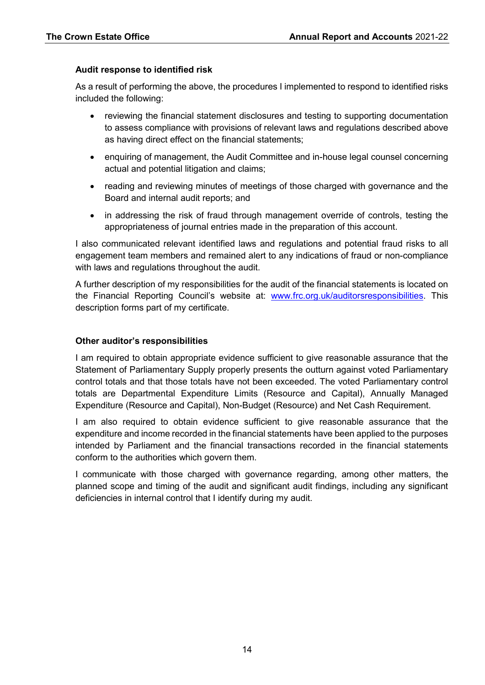#### **Audit response to identified risk**

As a result of performing the above, the procedures I implemented to respond to identified risks included the following:

- reviewing the financial statement disclosures and testing to supporting documentation to assess compliance with provisions of relevant laws and regulations described above as having direct effect on the financial statements;
- enquiring of management, the Audit Committee and in-house legal counsel concerning actual and potential litigation and claims;
- reading and reviewing minutes of meetings of those charged with governance and the Board and internal audit reports; and
- in addressing the risk of fraud through management override of controls, testing the appropriateness of journal entries made in the preparation of this account.

I also communicated relevant identified laws and regulations and potential fraud risks to all engagement team members and remained alert to any indications of fraud or non-compliance with laws and regulations throughout the audit.

A further description of my responsibilities for the audit of the financial statements is located on the Financial Reporting Council's website at: [www.frc.org.uk/auditorsresponsibilities.](https://www.frc.org.uk/auditors/audit-assurance/auditor-s-responsibilities-for-the-audit-of-the-fi/description-of-the-auditor%e2%80%99s-responsibilities-for) This description forms part of my certificate.

#### **Other auditor's responsibilities**

I am required to obtain appropriate evidence sufficient to give reasonable assurance that the Statement of Parliamentary Supply properly presents the outturn against voted Parliamentary control totals and that those totals have not been exceeded. The voted Parliamentary control totals are Departmental Expenditure Limits (Resource and Capital), Annually Managed Expenditure (Resource and Capital), Non-Budget (Resource) and Net Cash Requirement.

I am also required to obtain evidence sufficient to give reasonable assurance that the expenditure and income recorded in the financial statements have been applied to the purposes intended by Parliament and the financial transactions recorded in the financial statements conform to the authorities which govern them.

I communicate with those charged with governance regarding, among other matters, the planned scope and timing of the audit and significant audit findings, including any significant deficiencies in internal control that I identify during my audit.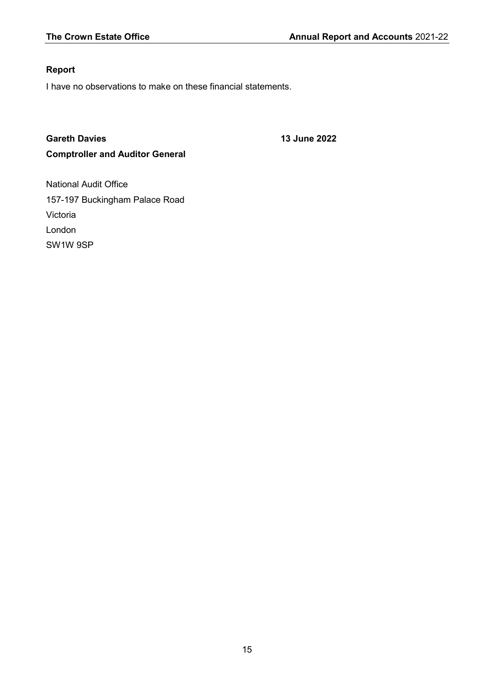## **Report**

I have no observations to make on these financial statements.

# **Gareth Davies 13 June 2022 Comptroller and Auditor General**

National Audit Office 157-197 Buckingham Palace Road Victoria London SW1W 9SP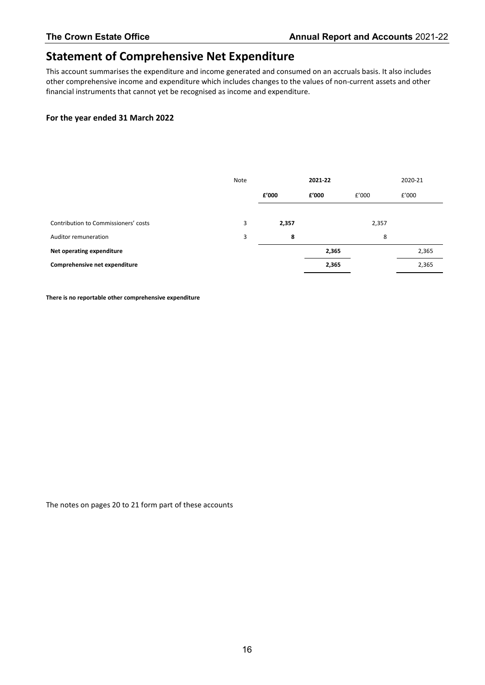# **Statement of Comprehensive Net Expenditure**

This account summarises the expenditure and income generated and consumed on an accruals basis. It also includes other comprehensive income and expenditure which includes changes to the values of non-current assets and other financial instruments that cannot yet be recognised as income and expenditure.

#### **For the year ended 31 March 2022**

|                                      | Note |       | 2021-22 |       | 2020-21 |
|--------------------------------------|------|-------|---------|-------|---------|
|                                      |      | f'000 | £'000   | £'000 | £'000   |
|                                      |      |       |         |       |         |
| Contribution to Commissioners' costs | 3    | 2,357 |         | 2,357 |         |
| Auditor remuneration                 | 3    | 8     |         | 8     |         |
| Net operating expenditure            |      |       | 2,365   |       | 2,365   |
| Comprehensive net expenditure        |      |       | 2,365   |       | 2,365   |

**There is no reportable other comprehensive expenditure**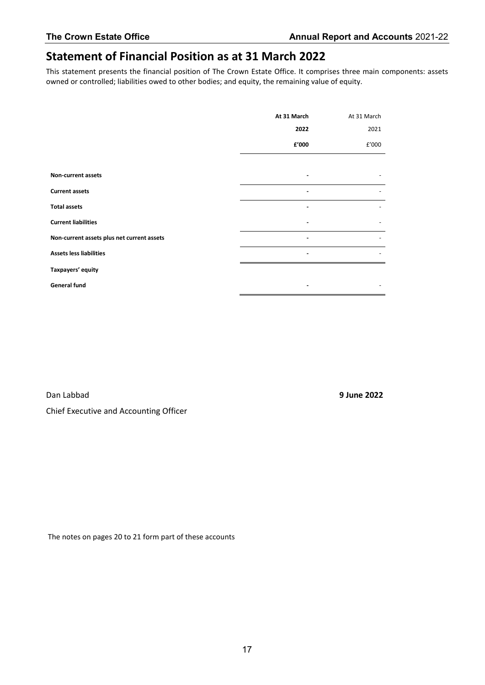# **Statement of Financial Position as at 31 March 2022**

This statement presents the financial position of The Crown Estate Office. It comprises three main components: assets owned or controlled; liabilities owed to other bodies; and equity, the remaining value of equity.

|                                            | At 31 March | At 31 March |
|--------------------------------------------|-------------|-------------|
|                                            | 2022        | 2021        |
|                                            | £'000       | £'000       |
|                                            |             |             |
| Non-current assets                         |             |             |
| <b>Current assets</b>                      |             |             |
| <b>Total assets</b>                        |             |             |
| <b>Current liabilities</b>                 |             |             |
| Non-current assets plus net current assets |             |             |
| <b>Assets less liabilities</b>             |             |             |
| Taxpayers' equity                          |             |             |
| <b>General fund</b>                        |             |             |

Dan Labbad **9 June 2022** Chief Executive and Accounting Officer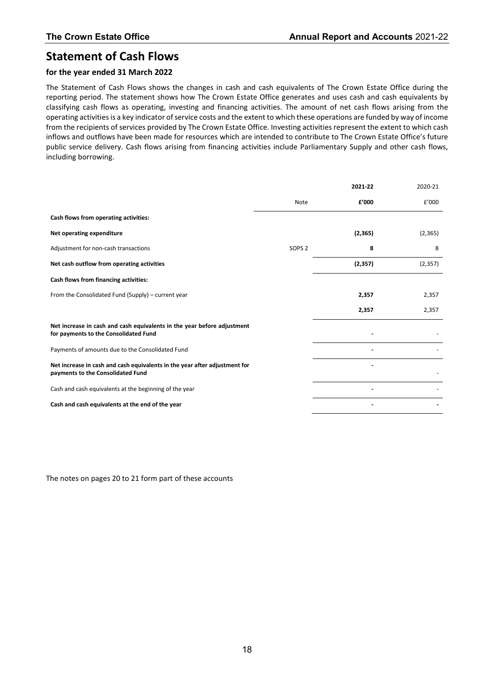# **Statement of Cash Flows**

#### **for the year ended 31 March 2022**

The Statement of Cash Flows shows the changes in cash and cash equivalents of The Crown Estate Office during the reporting period. The statement shows how The Crown Estate Office generates and uses cash and cash equivalents by classifying cash flows as operating, investing and financing activities. The amount of net cash flows arising from the operating activities is a key indicator of service costs and the extent to which these operations are funded by way of income from the recipients of services provided by The Crown Estate Office. Investing activities represent the extent to which cash inflows and outflows have been made for resources which are intended to contribute to The Crown Estate Office's future public service delivery. Cash flows arising from financing activities include Parliamentary Supply and other cash flows, including borrowing.

|                                                                                                                  |                   | 2021-22  | 2020-21  |
|------------------------------------------------------------------------------------------------------------------|-------------------|----------|----------|
|                                                                                                                  | Note              | f'000    | £'000    |
| Cash flows from operating activities:                                                                            |                   |          |          |
| Net operating expenditure                                                                                        |                   | (2, 365) | (2,365)  |
| Adjustment for non-cash transactions                                                                             | SOPS <sub>2</sub> | 8        | 8        |
| Net cash outflow from operating activities                                                                       |                   | (2, 357) | (2, 357) |
| Cash flows from financing activities:                                                                            |                   |          |          |
| From the Consolidated Fund (Supply) - current year                                                               |                   | 2,357    | 2,357    |
|                                                                                                                  |                   | 2,357    | 2,357    |
| Net increase in cash and cash equivalents in the year before adjustment<br>for payments to the Consolidated Fund |                   |          |          |
| Payments of amounts due to the Consolidated Fund                                                                 |                   |          |          |
| Net increase in cash and cash equivalents in the year after adjustment for<br>payments to the Consolidated Fund  |                   |          |          |
| Cash and cash equivalents at the beginning of the year                                                           |                   |          |          |
| Cash and cash equivalents at the end of the year                                                                 |                   |          |          |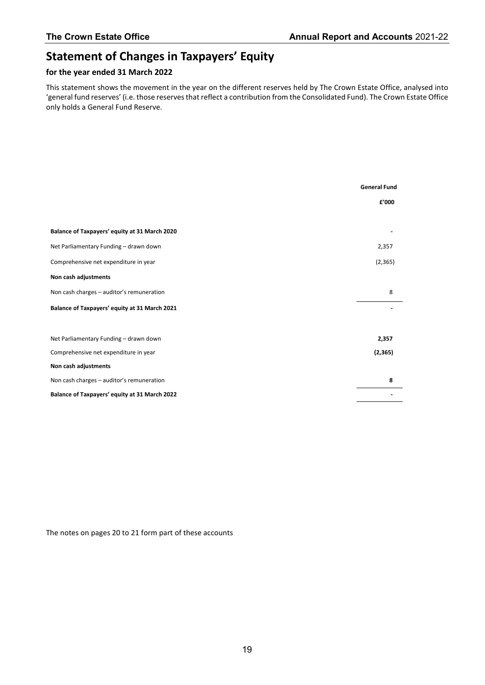# **Statement of Changes in Taxpayers' Equity**

#### **for the year ended 31 March 2022**

This statement shows the movement in the year on the different reserves held by The Crown Estate Office, analysed into 'general fund reserves' (i.e. those reserves that reflect a contribution from the Consolidated Fund). The Crown Estate Office only holds a General Fund Reserve.

|                                                      | <b>General Fund</b> |
|------------------------------------------------------|---------------------|
|                                                      | £'000               |
|                                                      |                     |
| Balance of Taxpayers' equity at 31 March 2020        |                     |
| Net Parliamentary Funding - drawn down               | 2,357               |
| Comprehensive net expenditure in year                | (2, 365)            |
| Non cash adjustments                                 |                     |
| Non cash charges - auditor's remuneration            | 8                   |
| Balance of Taxpayers' equity at 31 March 2021        |                     |
|                                                      |                     |
| Net Parliamentary Funding - drawn down               | 2,357               |
| Comprehensive net expenditure in year                | (2, 365)            |
| Non cash adjustments                                 |                     |
| Non cash charges - auditor's remuneration            | 8                   |
| <b>Balance of Taxpayers' equity at 31 March 2022</b> |                     |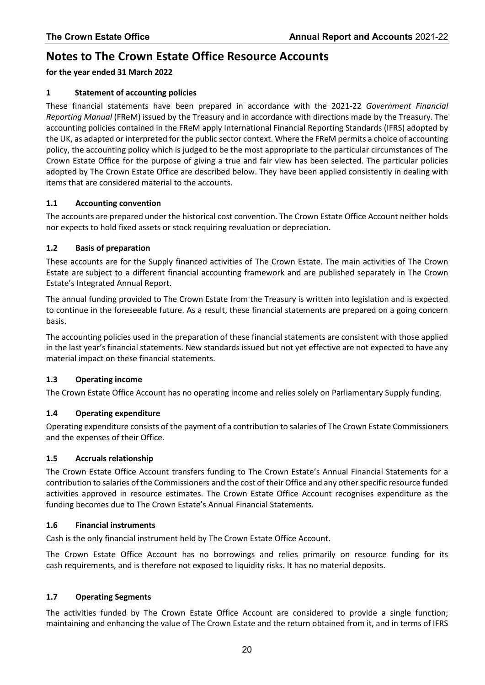# **Notes to The Crown Estate Office Resource Accounts**

#### **for the year ended 31 March 2022**

#### **1 Statement of accounting policies**

These financial statements have been prepared in accordance with the 2021-22 *Government Financial Reporting Manual* (FReM) issued by the Treasury and in accordance with directions made by the Treasury. The accounting policies contained in the FReM apply International Financial Reporting Standards (IFRS) adopted by the UK, as adapted or interpreted for the public sector context. Where the FReM permits a choice of accounting policy, the accounting policy which is judged to be the most appropriate to the particular circumstances of The Crown Estate Office for the purpose of giving a true and fair view has been selected. The particular policies adopted by The Crown Estate Office are described below. They have been applied consistently in dealing with items that are considered material to the accounts.

#### **1.1 Accounting convention**

The accounts are prepared under the historical cost convention. The Crown Estate Office Account neither holds nor expects to hold fixed assets or stock requiring revaluation or depreciation.

#### **1.2 Basis of preparation**

These accounts are for the Supply financed activities of The Crown Estate. The main activities of The Crown Estate are subject to a different financial accounting framework and are published separately in The Crown Estate's Integrated Annual Report.

The annual funding provided to The Crown Estate from the Treasury is written into legislation and is expected to continue in the foreseeable future. As a result, these financial statements are prepared on a going concern basis.

The accounting policies used in the preparation of these financial statements are consistent with those applied in the last year's financial statements. New standards issued but not yet effective are not expected to have any material impact on these financial statements.

#### **1.3 Operating income**

The Crown Estate Office Account has no operating income and relies solely on Parliamentary Supply funding.

#### **1.4 Operating expenditure**

Operating expenditure consists of the payment of a contribution to salaries of The Crown Estate Commissioners and the expenses of their Office.

#### **1.5 Accruals relationship**

The Crown Estate Office Account transfers funding to The Crown Estate's Annual Financial Statements for a contribution to salaries of the Commissioners and the cost of their Office and any other specific resource funded activities approved in resource estimates. The Crown Estate Office Account recognises expenditure as the funding becomes due to The Crown Estate's Annual Financial Statements.

#### **1.6 Financial instruments**

Cash is the only financial instrument held by The Crown Estate Office Account.

The Crown Estate Office Account has no borrowings and relies primarily on resource funding for its cash requirements, and is therefore not exposed to liquidity risks. It has no material deposits.

#### **1.7 Operating Segments**

The activities funded by The Crown Estate Office Account are considered to provide a single function; maintaining and enhancing the value of The Crown Estate and the return obtained from it, and in terms of IFRS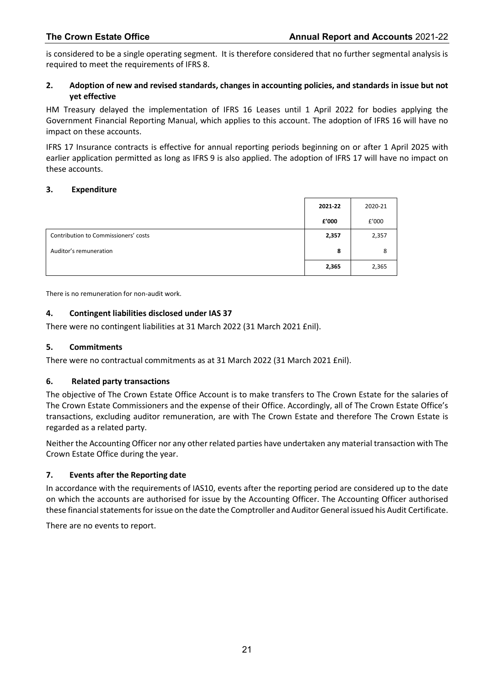is considered to be a single operating segment. It is therefore considered that no further segmental analysis is required to meet the requirements of IFRS 8.

#### **2. Adoption of new and revised standards, changes in accounting policies, and standards in issue but not yet effective**

HM Treasury delayed the implementation of IFRS 16 Leases until 1 April 2022 for bodies applying the Government Financial Reporting Manual, which applies to this account. The adoption of IFRS 16 will have no impact on these accounts.

IFRS 17 Insurance contracts is effective for annual reporting periods beginning on or after 1 April 2025 with earlier application permitted as long as IFRS 9 is also applied. The adoption of IFRS 17 will have no impact on these accounts.

#### **3. Expenditure**

|                                      | 2021-22 | 2020-21 |
|--------------------------------------|---------|---------|
|                                      | £'000   | £'000   |
| Contribution to Commissioners' costs | 2,357   | 2,357   |
| Auditor's remuneration               | 8       | 8       |
|                                      | 2,365   | 2,365   |

There is no remuneration for non-audit work.

#### **4. Contingent liabilities disclosed under IAS 37**

There were no contingent liabilities at 31 March 2022 (31 March 2021 £nil).

#### **5. Commitments**

There were no contractual commitments as at 31 March 2022 (31 March 2021 £nil).

#### **6. Related party transactions**

The objective of The Crown Estate Office Account is to make transfers to The Crown Estate for the salaries of The Crown Estate Commissioners and the expense of their Office. Accordingly, all of The Crown Estate Office's transactions, excluding auditor remuneration, are with The Crown Estate and therefore The Crown Estate is regarded as a related party.

Neither the Accounting Officer nor any other related parties have undertaken any material transaction with The Crown Estate Office during the year.

#### **7. Events after the Reporting date**

In accordance with the requirements of IAS10, events after the reporting period are considered up to the date on which the accounts are authorised for issue by the Accounting Officer. The Accounting Officer authorised these financial statements for issue on the date the Comptroller and Auditor General issued his Audit Certificate.

There are no events to report.